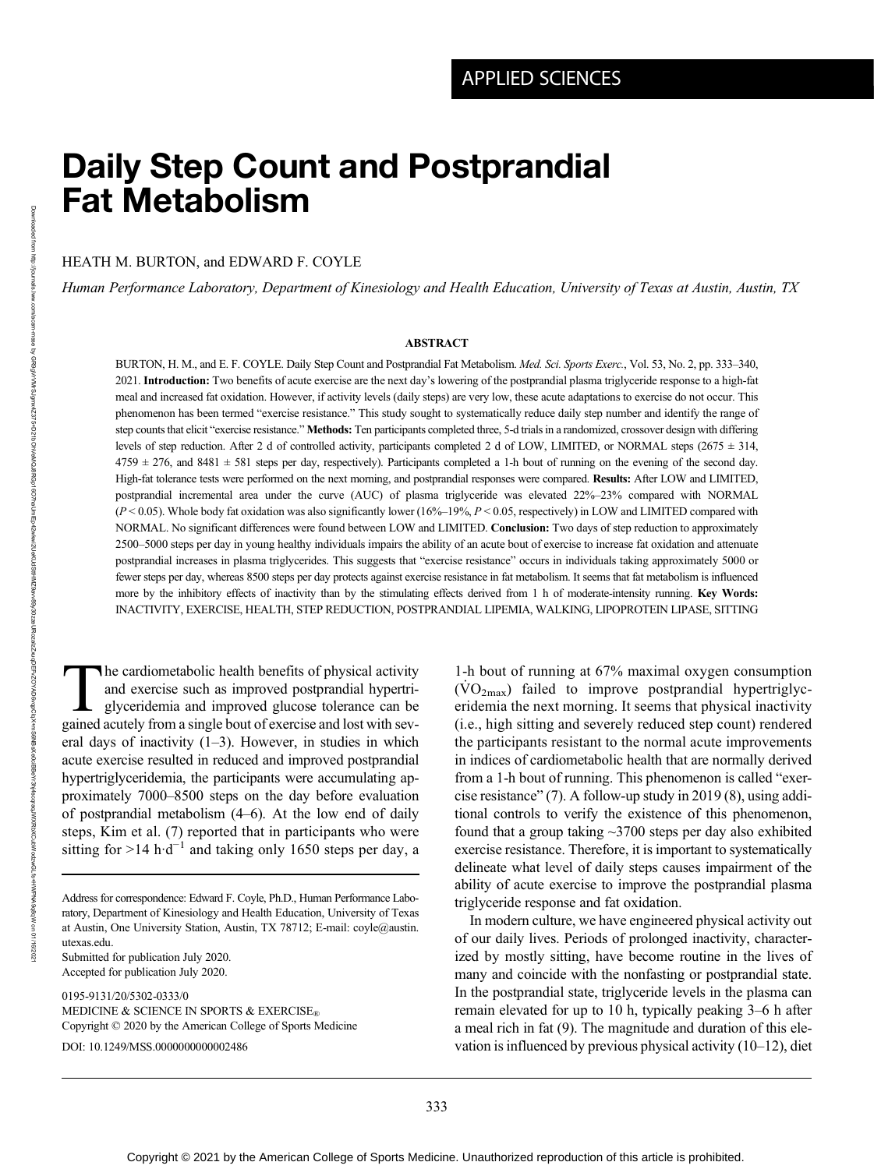# Daily Step Count and Postprandial Fat Metabolism

HEATH M. BURTON, and EDWARD F. COYLE

Human Performance Laboratory, Department of Kinesiology and Health Education, University of Texas at Austin, Austin, TX

#### ABSTRACT

BURTON, H. M., and E. F. COYLE. Daily Step Count and Postprandial Fat Metabolism. Med. Sci. Sports Exerc., Vol. 53, No. 2, pp. 333-340, 2021. Introduction: Two benefits of acute exercise are the next day's lowering of the postprandial plasma triglyceride response to a high-fat meal and increased fat oxidation. However, if activity levels (daily steps) are very low, these acute adaptations to exercise do not occur. This phenomenon has been termed "exercise resistance." This study sought to systematically reduce daily step number and identify the range of step counts that elicit "exercise resistance." Methods: Ten participants completed three, 5-d trials in a randomized, crossover design with differing levels of step reduction. After 2 d of controlled activity, participants completed 2 d of LOW, LIMITED, or NORMAL steps (2675 ± 314,  $4759 \pm 276$ , and  $8481 \pm 581$  steps per day, respectively). Participants completed a 1-h bout of running on the evening of the second day. High-fat tolerance tests were performed on the next morning, and postprandial responses were compared. Results: After LOW and LIMITED, postprandial incremental area under the curve (AUC) of plasma triglyceride was elevated 22%–23% compared with NORMAL  $(P< 0.05)$ . Whole body fat oxidation was also significantly lower (16%–19%,  $P< 0.05$ , respectively) in LOW and LIMITED compared with NORMAL. No significant differences were found between LOW and LIMITED. Conclusion: Two days of step reduction to approximately 2500–5000 steps per day in young healthy individuals impairs the ability of an acute bout of exercise to increase fat oxidation and attenuate postprandial increases in plasma triglycerides. This suggests that "exercise resistance" occurs in individuals taking approximately 5000 or fewer steps per day, whereas 8500 steps per day protects against exercise resistance in fat metabolism. It seems that fat metabolism is influenced more by the inhibitory effects of inactivity than by the stimulating effects derived from 1 h of moderate-intensity running. Key Words: INACTIVITY, EXERCISE, HEALTH, STEP REDUCTION, POSTPRANDIAL LIPEMIA, WALKING, LIPOPROTEIN LIPASE, SITTING

The cardiometabolic health benefits of physical activity and exercise such as improved postprandial hypertriglyceridemia and improved glucose tolerance can be gained acutely from a single bout of exercise and lost with several days of inactivity (1–3). However, in studies in which acute exercise resulted in reduced and improved postprandial hypertriglyceridemia, the participants were accumulating approximately 7000–8500 steps on the day before evaluation of postprandial metabolism (4–6). At the low end of daily steps, Kim et al. (7) reported that in participants who were sitting for >14 h·d<sup>-1</sup> and taking only 1650 steps per day, a

Submitted for publication July 2020. Accepted for publication July 2020.

0195-9131/20/5302-0333/0 MEDICINE & SCIENCE IN SPORTS & EXERCISE® Copyright © 2020 by the American College of Sports Medicine DOI: 10.1249/MSS.0000000000002486

1-h bout of running at 67% maximal oxygen consumption  $(VO<sub>2max</sub>)$  failed to improve postprandial hypertriglyceridemia the next morning. It seems that physical inactivity (i.e., high sitting and severely reduced step count) rendered the participants resistant to the normal acute improvements in indices of cardiometabolic health that are normally derived from a 1-h bout of running. This phenomenon is called "exercise resistance" (7). A follow-up study in 2019 (8), using additional controls to verify the existence of this phenomenon, found that a group taking ~3700 steps per day also exhibited exercise resistance. Therefore, it is important to systematically delineate what level of daily steps causes impairment of the ability of acute exercise to improve the postprandial plasma triglyceride response and fat oxidation.

In modern culture, we have engineered physical activity out of our daily lives. Periods of prolonged inactivity, characterized by mostly sitting, have become routine in the lives of many and coincide with the nonfasting or postprandial state. In the postprandial state, triglyceride levels in the plasma can remain elevated for up to 10 h, typically peaking 3–6 h after a meal rich in fat (9). The magnitude and duration of this elevation is influenced by previous physical activity (10–12), diet

Address for correspondence: Edward F. Coyle, Ph.D., Human Performance Laboratory, Department of Kinesiology and Health Education, University of Texas at Austin, One University Station, Austin, TX 78712; E-mail: [coyle@austin.](mailto:coyle@austin.utexas.edu) [utexas.edu](mailto:coyle@austin.utexas.edu).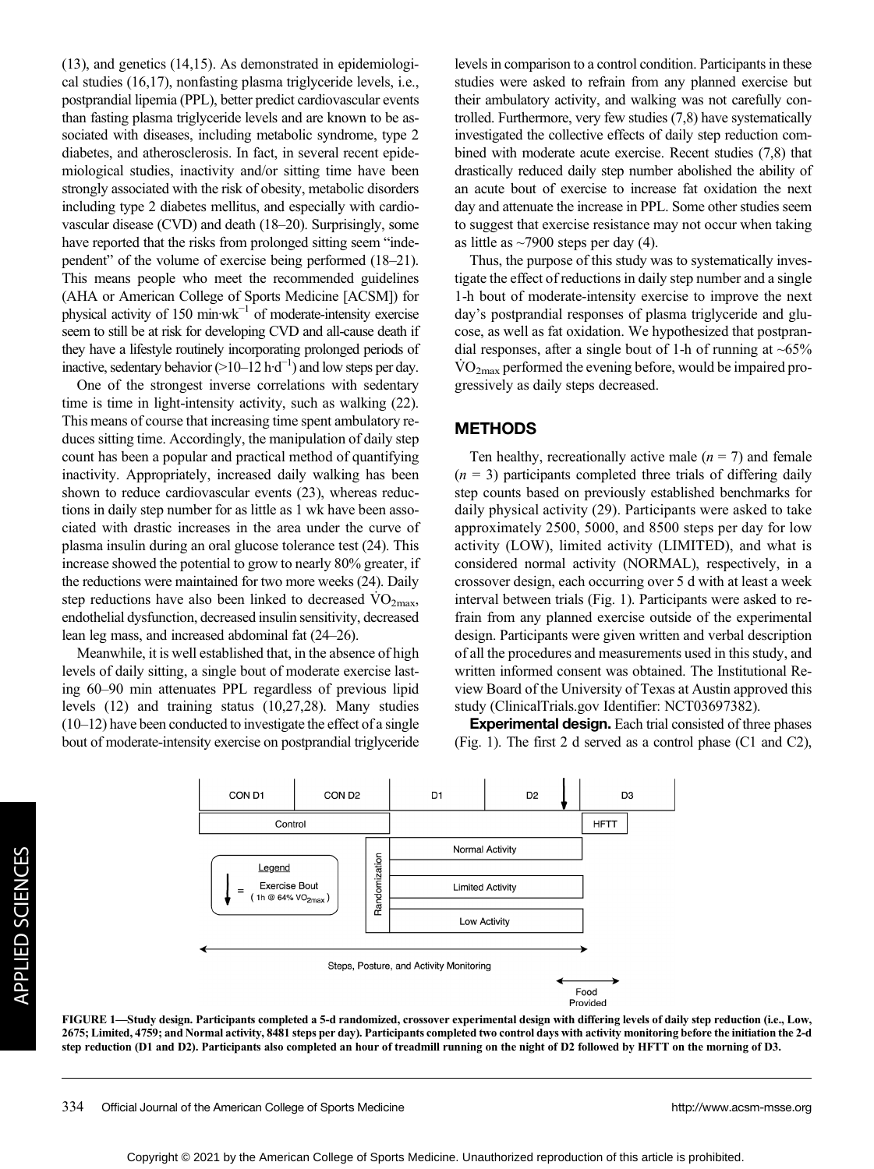(13), and genetics (14,15). As demonstrated in epidemiological studies (16,17), nonfasting plasma triglyceride levels, i.e., postprandial lipemia (PPL), better predict cardiovascular events than fasting plasma triglyceride levels and are known to be associated with diseases, including metabolic syndrome, type 2 diabetes, and atherosclerosis. In fact, in several recent epidemiological studies, inactivity and/or sitting time have been strongly associated with the risk of obesity, metabolic disorders including type 2 diabetes mellitus, and especially with cardiovascular disease (CVD) and death (18–20). Surprisingly, some have reported that the risks from prolonged sitting seem "independent" of the volume of exercise being performed (18–21). This means people who meet the recommended guidelines (AHA or American College of Sports Medicine [ACSM]) for physical activity of 150 min·wk−<sup>1</sup> of moderate-intensity exercise seem to still be at risk for developing CVD and all-cause death if they have a lifestyle routinely incorporating prolonged periods of inactive, sedentary behavior (>10–12 h·d<sup>-1</sup>) and low steps per day.

One of the strongest inverse correlations with sedentary time is time in light-intensity activity, such as walking (22). This means of course that increasing time spent ambulatory reduces sitting time. Accordingly, the manipulation of daily step count has been a popular and practical method of quantifying inactivity. Appropriately, increased daily walking has been shown to reduce cardiovascular events (23), whereas reductions in daily step number for as little as 1 wk have been associated with drastic increases in the area under the curve of plasma insulin during an oral glucose tolerance test (24). This increase showed the potential to grow to nearly 80% greater, if the reductions were maintained for two more weeks (24). Daily step reductions have also been linked to decreased  $\rm VO_{2max}$ , endothelial dysfunction, decreased insulin sensitivity, decreased lean leg mass, and increased abdominal fat (24–26).

Meanwhile, it is well established that, in the absence of high levels of daily sitting, a single bout of moderate exercise lasting 60–90 min attenuates PPL regardless of previous lipid levels (12) and training status (10,27,28). Many studies (10–12) have been conducted to investigate the effect of a single bout of moderate-intensity exercise on postprandial triglyceride levels in comparison to a control condition. Participants in these studies were asked to refrain from any planned exercise but their ambulatory activity, and walking was not carefully controlled. Furthermore, very few studies (7,8) have systematically investigated the collective effects of daily step reduction combined with moderate acute exercise. Recent studies (7,8) that drastically reduced daily step number abolished the ability of an acute bout of exercise to increase fat oxidation the next day and attenuate the increase in PPL. Some other studies seem to suggest that exercise resistance may not occur when taking as little as  $\sim$ 7900 steps per day (4).

Thus, the purpose of this study was to systematically investigate the effect of reductions in daily step number and a single 1-h bout of moderate-intensity exercise to improve the next day's postprandial responses of plasma triglyceride and glucose, as well as fat oxidation. We hypothesized that postprandial responses, after a single bout of 1-h of running at  $~65\%$  $\rm \dot{VO}_{2max}$  performed the evening before, would be impaired progressively as daily steps decreased.

#### METHODS

Ten healthy, recreationally active male  $(n = 7)$  and female  $(n = 3)$  participants completed three trials of differing daily step counts based on previously established benchmarks for daily physical activity (29). Participants were asked to take approximately 2500, 5000, and 8500 steps per day for low activity (LOW), limited activity (LIMITED), and what is considered normal activity (NORMAL), respectively, in a crossover design, each occurring over 5 d with at least a week interval between trials (Fig. 1). Participants were asked to refrain from any planned exercise outside of the experimental design. Participants were given written and verbal description of all the procedures and measurements used in this study, and written informed consent was obtained. The Institutional Review Board of the University of Texas at Austin approved this study [\(ClinicalTrials.gov](http://ClinicalTrials.gov) Identifier: NCT03697382).

Experimental design. Each trial consisted of three phases (Fig. 1). The first 2 d served as a control phase (C1 and C2),



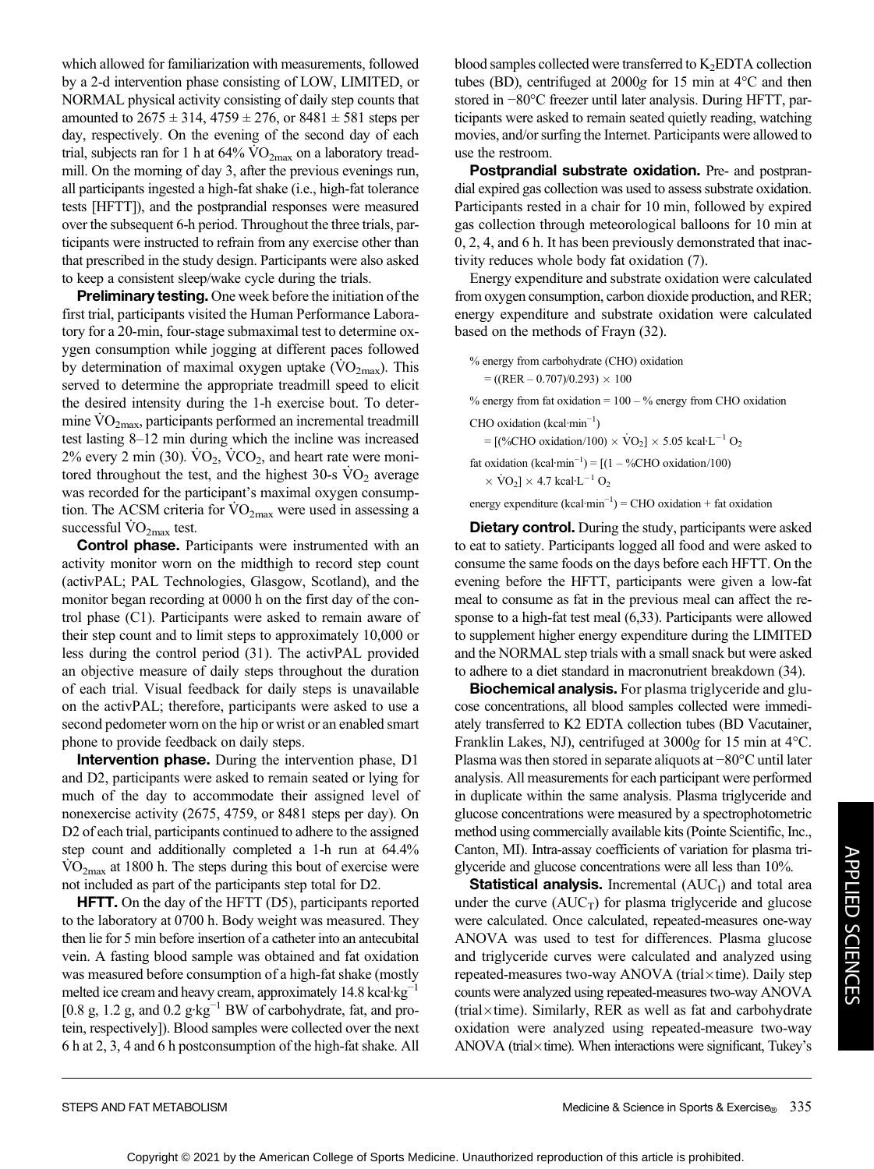which allowed for familiarization with measurements, followed by a 2-d intervention phase consisting of LOW, LIMITED, or NORMAL physical activity consisting of daily step counts that amounted to  $2675 \pm 314$ ,  $4759 \pm 276$ , or  $8481 \pm 581$  steps per day, respectively. On the evening of the second day of each trial, subjects ran for 1 h at  $64\%$  VO<sub>2max</sub> on a laboratory treadmill. On the morning of day 3, after the previous evenings run, all participants ingested a high-fat shake (i.e., high-fat tolerance tests [HFTT]), and the postprandial responses were measured over the subsequent 6-h period. Throughout the three trials, participants were instructed to refrain from any exercise other than that prescribed in the study design. Participants were also asked to keep a consistent sleep/wake cycle during the trials.

**Preliminary testing.** One week before the initiation of the first trial, participants visited the Human Performance Laboratory for a 20-min, four-stage submaximal test to determine oxygen consumption while jogging at different paces followed by determination of maximal oxygen uptake  $(\rm VO_{2max})$ . This served to determine the appropriate treadmill speed to elicit the desired intensity during the 1-h exercise bout. To determine  $\rm VO_{2max}$ , participants performed an incremental treadmill test lasting 8–12 min during which the incline was increased  $2\%$  every 2 min (30).  $\text{VO}_2$ ,  $\text{VCO}_2$ , and heart rate were monitored throughout the test, and the highest  $30\text{-s}$  VO<sub>2</sub> average was recorded for the participant's maximal oxygen consumption. The ACSM criteria for  $\rm\dot{VO}_{2max}$  were used in assessing a successful  $VO<sub>2max</sub>$  test.

Control phase. Participants were instrumented with an activity monitor worn on the midthigh to record step count (activPAL; PAL Technologies, Glasgow, Scotland), and the monitor began recording at 0000 h on the first day of the control phase (C1). Participants were asked to remain aware of their step count and to limit steps to approximately 10,000 or less during the control period (31). The activPAL provided an objective measure of daily steps throughout the duration of each trial. Visual feedback for daily steps is unavailable on the activPAL; therefore, participants were asked to use a second pedometer worn on the hip or wrist or an enabled smart phone to provide feedback on daily steps.

Intervention phase. During the intervention phase, D1 and D2, participants were asked to remain seated or lying for much of the day to accommodate their assigned level of nonexercise activity (2675, 4759, or 8481 steps per day). On D2 of each trial, participants continued to adhere to the assigned step count and additionally completed a 1-h run at 64.4%  $\rm\dot{VO}_{2max}$  at 1800 h. The steps during this bout of exercise were not included as part of the participants step total for D2.

**HFTT.** On the day of the HFTT (D5), participants reported to the laboratory at 0700 h. Body weight was measured. They then lie for 5 min before insertion of a catheter into an antecubital vein. A fasting blood sample was obtained and fat oxidation was measured before consumption of a high-fat shake (mostly melted ice cream and heavy cream, approximately 14.8 kcal·kg<sup>-1</sup> [0.8 g, 1.2 g, and 0.2  $g \cdot kg^{-1}$  BW of carbohydrate, fat, and protein, respectively]). Blood samples were collected over the next 6 h at 2, 3, 4 and 6 h postconsumption of the high-fat shake. All blood samples collected were transferred to  $K_2EDTA$  collection tubes (BD), centrifuged at 2000g for 15 min at 4°C and then stored in −80°C freezer until later analysis. During HFTT, participants were asked to remain seated quietly reading, watching movies, and/or surfing the Internet. Participants were allowed to use the restroom.

Postprandial substrate oxidation. Pre- and postprandial expired gas collection was used to assess substrate oxidation. Participants rested in a chair for 10 min, followed by expired gas collection through meteorological balloons for 10 min at 0, 2, 4, and 6 h. It has been previously demonstrated that inactivity reduces whole body fat oxidation (7).

Energy expenditure and substrate oxidation were calculated from oxygen consumption, carbon dioxide production, and RER; energy expenditure and substrate oxidation were calculated based on the methods of Frayn (32).

% energy from carbohydrate (CHO) oxidation  $= ((RER - 0.707)/0.293) \times 100$ 

 $%$  energy from fat oxidation =  $100 - %$  energy from CHO oxidation

CHO oxidation (kcal·min−<sup>1</sup> )

=  $[(\%CHO$  oxidation/100)  $\times$  VO<sub>2</sub>]  $\times$  5.05 kcal·L<sup>-1</sup> O<sub>2</sub>

fat oxidation  $(kcal·min^{-1}) = [(1 - %CHO oxidation/100)$  $\times$  VO<sub>2</sub>]  $\times$  4.7 kcal·L<sup>-1</sup> O<sub>2</sub>

energy expenditure  $(kcal·min<sup>-1</sup>) = CHO$  oxidation + fat oxidation

**Dietary control.** During the study, participants were asked to eat to satiety. Participants logged all food and were asked to consume the same foods on the days before each HFTT. On the evening before the HFTT, participants were given a low-fat meal to consume as fat in the previous meal can affect the response to a high-fat test meal (6,33). Participants were allowed to supplement higher energy expenditure during the LIMITED and the NORMAL step trials with a small snack but were asked to adhere to a diet standard in macronutrient breakdown (34).

Biochemical analysis. For plasma triglyceride and glucose concentrations, all blood samples collected were immediately transferred to K2 EDTA collection tubes (BD Vacutainer, Franklin Lakes, NJ), centrifuged at 3000g for 15 min at 4°C. Plasma was then stored in separate aliquots at −80°C until later analysis. All measurements for each participant were performed in duplicate within the same analysis. Plasma triglyceride and glucose concentrations were measured by a spectrophotometric method using commercially available kits (Pointe Scientific, Inc., Canton, MI). Intra-assay coefficients of variation for plasma triglyceride and glucose concentrations were all less than 10%.

**Statistical analysis.** Incremental  $(AUC<sub>I</sub>)$  and total area under the curve  $(AUC_T)$  for plasma triglyceride and glucose were calculated. Once calculated, repeated-measures one-way ANOVA was used to test for differences. Plasma glucose and triglyceride curves were calculated and analyzed using repeated-measures two-way ANOVA (trial $\times$ time). Daily step counts were analyzed using repeated-measures two-way ANOVA (trial $\times$ time). Similarly, RER as well as fat and carbohydrate oxidation were analyzed using repeated-measure two-way ANOVA (trial $\times$ time). When interactions were significant, Tukey's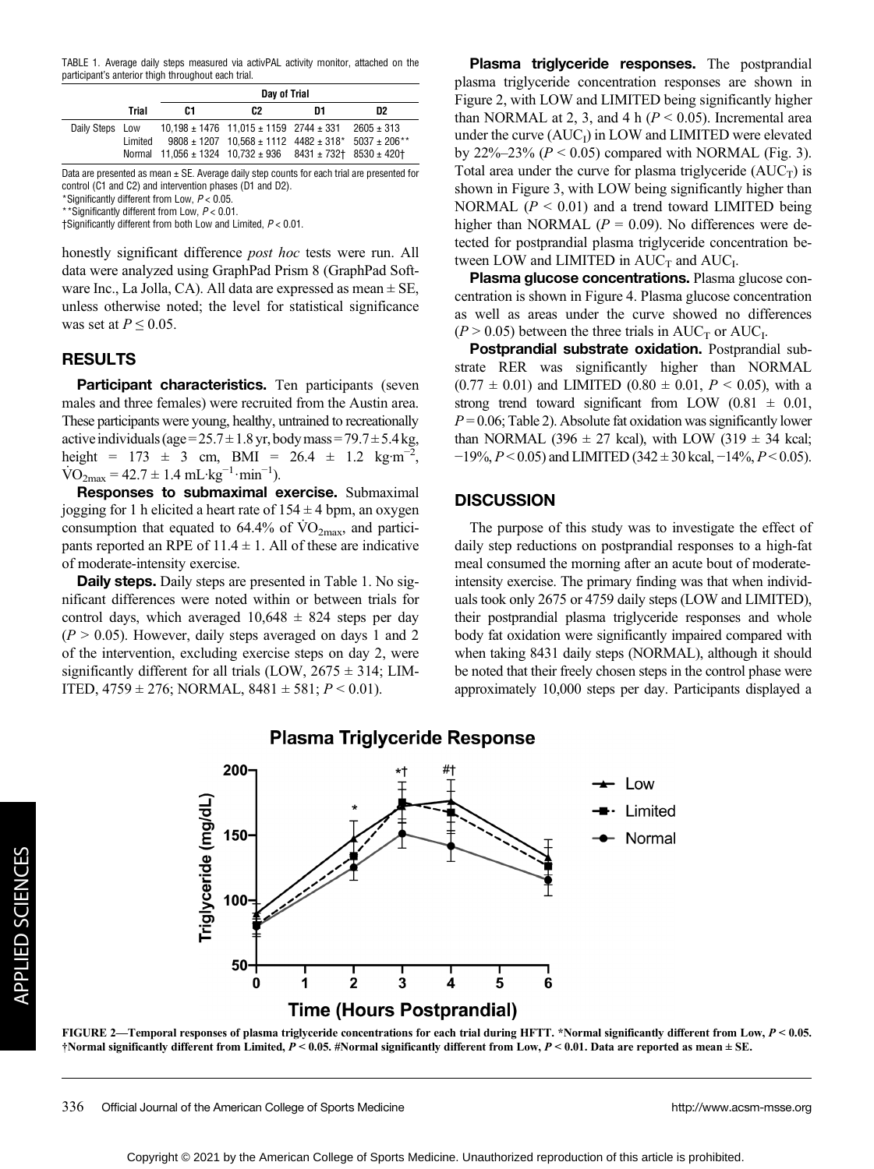TABLE 1. Average daily steps measured via activPAL activity monitor, attached on the participant's anterior thigh throughout each trial.

|                 |         | Day of Trial                                                |                                                                                                                          |    |                |
|-----------------|---------|-------------------------------------------------------------|--------------------------------------------------------------------------------------------------------------------------|----|----------------|
|                 | Trial   | C1                                                          | C <sub>2</sub>                                                                                                           | D1 | D <sub>2</sub> |
| Daily Steps Low | Limited | Normal 11.056 ± 1324 10.732 ± 936 8431 ± 732 + 8530 ± 420 + | $10.198 \pm 1476$ 11.015 $\pm$ 1159 2744 $\pm$ 331<br>$9808 \pm 1207$ 10.568 $\pm$ 1112 4482 $\pm$ 318* 5037 $\pm$ 206** |    | $2605 \pm 313$ |

Data are presented as mean  $\pm$  SE. Average daily step counts for each trial are presented for control (C1 and C2) and intervention phases (D1 and D2).

\*Significantly different from Low,  $P < 0.05$ . \*\*Significantly different from Low, P < 0.01.

†Significantly different from both Low and Limited, P < 0.01.

honestly significant difference *post hoc* tests were run. All data were analyzed using GraphPad Prism 8 (GraphPad Software Inc., La Jolla, CA). All data are expressed as mean  $\pm$  SE, unless otherwise noted; the level for statistical significance was set at  $P \leq 0.05$ .

## RESULTS

**Participant characteristics.** Ten participants (seven males and three females) were recruited from the Austin area. These participants were young, healthy, untrained to recreationally active individuals (age =  $25.7 \pm 1.8$  yr, body mass =  $79.7 \pm 5.4$  kg, height =  $173 \pm 3$  cm, BMI =  $26.4 \pm 1.2$  kg·m<sup>-2</sup>,  $\text{VO}_{2\text{max}} = 42.7 \pm 1.4 \text{ mL} \cdot \text{kg}^{-1} \cdot \text{min}^{-1}$ ).

Responses to submaximal exercise. Submaximal jogging for 1 h elicited a heart rate of  $154 \pm 4$  bpm, an oxygen consumption that equated to 64.4% of  $\rm\dot{VO}_{2max}$ , and participants reported an RPE of  $11.4 \pm 1$ . All of these are indicative of moderate-intensity exercise.

**Daily steps.** Daily steps are presented in Table 1. No significant differences were noted within or between trials for control days, which averaged  $10,648 \pm 824$  steps per day  $(P > 0.05)$ . However, daily steps averaged on days 1 and 2 of the intervention, excluding exercise steps on day 2, were significantly different for all trials (LOW,  $2675 \pm 314$ ; LIM-ITED,  $4759 \pm 276$ ; NORMAL,  $8481 \pm 581$ ;  $P < 0.01$ ).

Plasma triglyceride responses. The postprandial plasma triglyceride concentration responses are shown in Figure 2, with LOW and LIMITED being significantly higher than NORMAL at 2, 3, and 4 h ( $P < 0.05$ ). Incremental area under the curve  $(AUC_I)$  in LOW and LIMITED were elevated by 22%–23% ( $P < 0.05$ ) compared with NORMAL (Fig. 3). Total area under the curve for plasma triglyceride  $(AUC_T)$  is shown in Figure 3, with LOW being significantly higher than NORMAL ( $P < 0.01$ ) and a trend toward LIMITED being higher than NORMAL ( $P = 0.09$ ). No differences were detected for postprandial plasma triglyceride concentration between LOW and LIMITED in  $AUC_T$  and  $AUC_I$ .

Plasma glucose concentrations. Plasma glucose concentration is shown in Figure 4. Plasma glucose concentration as well as areas under the curve showed no differences  $(P > 0.05)$  between the three trials in AUC<sub>T</sub> or AUC<sub>I</sub>.

Postprandial substrate oxidation. Postprandial substrate RER was significantly higher than NORMAL  $(0.77 \pm 0.01)$  and LIMITED  $(0.80 \pm 0.01, P \le 0.05)$ , with a strong trend toward significant from LOW  $(0.81 \pm 0.01,$  $P = 0.06$ ; Table 2). Absolute fat oxidation was significantly lower than NORMAL (396  $\pm$  27 kcal), with LOW (319  $\pm$  34 kcal;  $-19\%, P < 0.05$ ) and LIMITED (342 ± 30 kcal,  $-14\%, P < 0.05$ ).

#### **DISCUSSION**

The purpose of this study was to investigate the effect of daily step reductions on postprandial responses to a high-fat meal consumed the morning after an acute bout of moderateintensity exercise. The primary finding was that when individuals took only 2675 or 4759 daily steps (LOW and LIMITED), their postprandial plasma triglyceride responses and whole body fat oxidation were significantly impaired compared with when taking 8431 daily steps (NORMAL), although it should be noted that their freely chosen steps in the control phase were approximately 10,000 steps per day. Participants displayed a



### **Plasma Triglyceride Response**

FIGURE 2—Temporal responses of plasma triglyceride concentrations for each trial during HFTT. \*Normal significantly different from Low,  $P < 0.05$ . †Normal significantly different from Limited,  $P < 0.05$ . #Normal significantly different from Low,  $P < 0.01$ . Data are reported as mean  $\pm$  SE.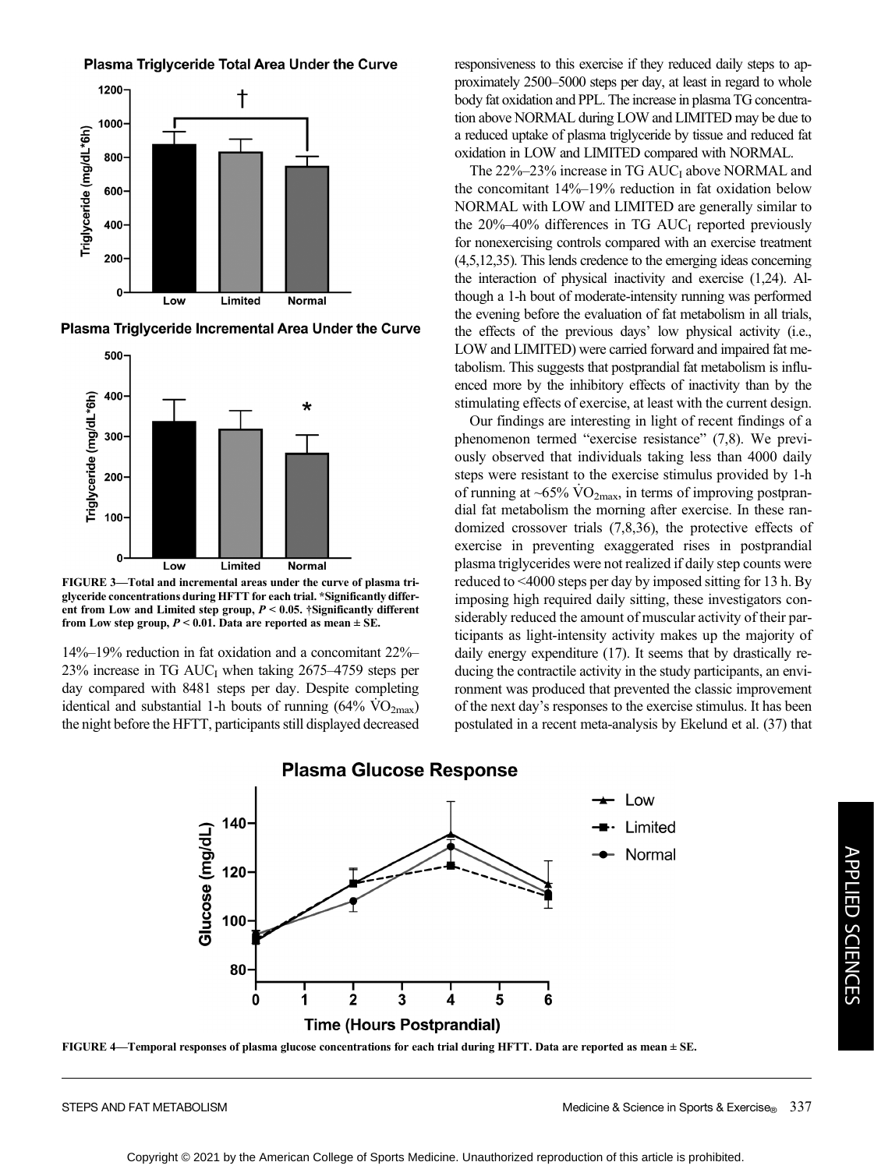Plasma Triglyceride Total Area Under the Curve



Plasma Triglyceride Incremental Area Under the Curve



FIGURE 3—Total and incremental areas under the curve of plasma triglyceride concentrations during HFTT for each trial. \*Significantly different from Low and Limited step group,  $P < 0.05$ . †Significantly different from Low step group,  $P < 0.01$ . Data are reported as mean  $\pm$  SE.

14%–19% reduction in fat oxidation and a concomitant 22%– 23% increase in TG  $AUC<sub>I</sub>$  when taking 2675–4759 steps per day compared with 8481 steps per day. Despite completing identical and substantial 1-h bouts of running  $(64\% \text{ VO}_{2\text{max}})$ the night before the HFTT, participants still displayed decreased responsiveness to this exercise if they reduced daily steps to approximately 2500–5000 steps per day, at least in regard to whole body fat oxidation and PPL. The increase in plasma TG concentration above NORMAL during LOW and LIMITED may be due to a reduced uptake of plasma triglyceride by tissue and reduced fat oxidation in LOW and LIMITED compared with NORMAL.

The  $22\% - 23\%$  increase in TG  $AUC_I$  above NORMAL and the concomitant 14%–19% reduction in fat oxidation below NORMAL with LOW and LIMITED are generally similar to the  $20\% - 40\%$  differences in TG AUC<sub>I</sub> reported previously for nonexercising controls compared with an exercise treatment (4,5,12,35). This lends credence to the emerging ideas concerning the interaction of physical inactivity and exercise (1,24). Although a 1-h bout of moderate-intensity running was performed the evening before the evaluation of fat metabolism in all trials, the effects of the previous days' low physical activity (i.e., LOW and LIMITED) were carried forward and impaired fat metabolism. This suggests that postprandial fat metabolism is influenced more by the inhibitory effects of inactivity than by the stimulating effects of exercise, at least with the current design.

Our findings are interesting in light of recent findings of a phenomenon termed "exercise resistance" (7,8). We previously observed that individuals taking less than 4000 daily steps were resistant to the exercise stimulus provided by 1-h of running at ~65%  $\rm \dot{VO}_{2max}$ , in terms of improving postprandial fat metabolism the morning after exercise. In these randomized crossover trials (7,8,36), the protective effects of exercise in preventing exaggerated rises in postprandial plasma triglycerides were not realized if daily step counts were reduced to <4000 steps per day by imposed sitting for 13 h. By imposing high required daily sitting, these investigators considerably reduced the amount of muscular activity of their participants as light-intensity activity makes up the majority of daily energy expenditure (17). It seems that by drastically reducing the contractile activity in the study participants, an environment was produced that prevented the classic improvement of the next day's responses to the exercise stimulus. It has been postulated in a recent meta-analysis by Ekelund et al. (37) that



# **Plasma Glucose Response**

FIGURE 4—Temporal responses of plasma glucose concentrations for each trial during HFTT. Data are reported as mean ± SE.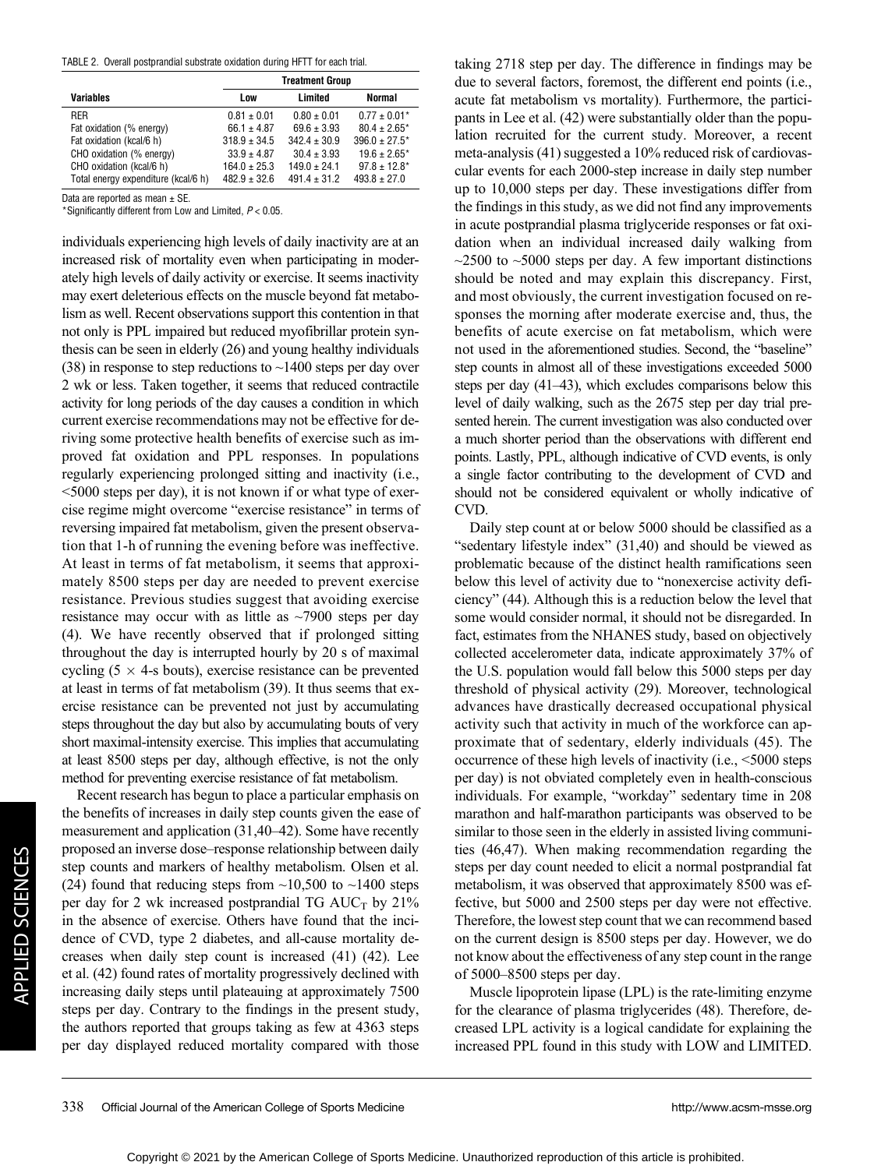TABLE 2. Overall postprandial substrate oxidation during HFTT for each trial.

|                                     |                  | <b>Treatment Group</b> |                    |  |
|-------------------------------------|------------------|------------------------|--------------------|--|
| <b>Variables</b>                    | Low              | Limited                | Normal             |  |
| RER                                 | $0.81 \pm 0.01$  | $0.80 + 0.01$          | $0.77 \pm 0.01*$   |  |
| Fat oxidation (% energy)            | $66.1 \pm 4.87$  | $69.6 \pm 3.93$        | $80.4 \pm 2.65$ *  |  |
| Fat oxidation (kcal/6 h)            | $318.9 \pm 34.5$ | $342.4 \pm 30.9$       | $396.0 \pm 27.5^*$ |  |
| CHO oxidation (% energy)            | $33.9 \pm 4.87$  | $30.4 \pm 3.93$        | $19.6 \pm 2.65$ *  |  |
| CHO oxidation (kcal/6 h)            | $164.0 \pm 25.3$ | $149.0 \pm 24.1$       | $97.8 \pm 12.8^*$  |  |
| Total energy expenditure (kcal/6 h) | $482.9 \pm 32.6$ | $491.4 \pm 31.2$       | $493.8 \pm 27.0$   |  |

Data are reported as mean  $\pm$  SE.

\*Significantly different from Low and Limited,  $P < 0.05$ .

individuals experiencing high levels of daily inactivity are at an increased risk of mortality even when participating in moderately high levels of daily activity or exercise. It seems inactivity may exert deleterious effects on the muscle beyond fat metabolism as well. Recent observations support this contention in that not only is PPL impaired but reduced myofibrillar protein synthesis can be seen in elderly (26) and young healthy individuals (38) in response to step reductions to ~1400 steps per day over 2 wk or less. Taken together, it seems that reduced contractile activity for long periods of the day causes a condition in which current exercise recommendations may not be effective for deriving some protective health benefits of exercise such as improved fat oxidation and PPL responses. In populations regularly experiencing prolonged sitting and inactivity (i.e., <5000 steps per day), it is not known if or what type of exercise regime might overcome "exercise resistance" in terms of reversing impaired fat metabolism, given the present observation that 1-h of running the evening before was ineffective. At least in terms of fat metabolism, it seems that approximately 8500 steps per day are needed to prevent exercise resistance. Previous studies suggest that avoiding exercise resistance may occur with as little as  $\sim$ 7900 steps per day (4). We have recently observed that if prolonged sitting throughout the day is interrupted hourly by 20 s of maximal cycling ( $5 \times 4$ -s bouts), exercise resistance can be prevented at least in terms of fat metabolism (39). It thus seems that exercise resistance can be prevented not just by accumulating steps throughout the day but also by accumulating bouts of very short maximal-intensity exercise. This implies that accumulating at least 8500 steps per day, although effective, is not the only method for preventing exercise resistance of fat metabolism.

Recent research has begun to place a particular emphasis on the benefits of increases in daily step counts given the ease of measurement and application (31,40–42). Some have recently proposed an inverse dose–response relationship between daily step counts and markers of healthy metabolism. Olsen et al. (24) found that reducing steps from  $\sim$ 10,500 to  $\sim$ 1400 steps per day for 2 wk increased postprandial TG  $AUC_T$  by 21% in the absence of exercise. Others have found that the incidence of CVD, type 2 diabetes, and all-cause mortality decreases when daily step count is increased (41) (42). Lee et al. (42) found rates of mortality progressively declined with increasing daily steps until plateauing at approximately 7500 steps per day. Contrary to the findings in the present study, the authors reported that groups taking as few at 4363 steps per day displayed reduced mortality compared with those

taking 2718 step per day. The difference in findings may be due to several factors, foremost, the different end points (i.e., acute fat metabolism vs mortality). Furthermore, the participants in Lee et al. (42) were substantially older than the population recruited for the current study. Moreover, a recent meta-analysis (41) suggested a 10% reduced risk of cardiovascular events for each 2000-step increase in daily step number up to 10,000 steps per day. These investigations differ from the findings in this study, as we did not find any improvements in acute postprandial plasma triglyceride responses or fat oxidation when an individual increased daily walking from  $\sim$ 2500 to  $\sim$ 5000 steps per day. A few important distinctions should be noted and may explain this discrepancy. First, and most obviously, the current investigation focused on responses the morning after moderate exercise and, thus, the benefits of acute exercise on fat metabolism, which were not used in the aforementioned studies. Second, the "baseline" step counts in almost all of these investigations exceeded 5000 steps per day (41–43), which excludes comparisons below this level of daily walking, such as the 2675 step per day trial presented herein. The current investigation was also conducted over a much shorter period than the observations with different end points. Lastly, PPL, although indicative of CVD events, is only a single factor contributing to the development of CVD and should not be considered equivalent or wholly indicative of CVD.

Daily step count at or below 5000 should be classified as a "sedentary lifestyle index" (31,40) and should be viewed as problematic because of the distinct health ramifications seen below this level of activity due to "nonexercise activity deficiency" (44). Although this is a reduction below the level that some would consider normal, it should not be disregarded. In fact, estimates from the NHANES study, based on objectively collected accelerometer data, indicate approximately 37% of the U.S. population would fall below this 5000 steps per day threshold of physical activity (29). Moreover, technological advances have drastically decreased occupational physical activity such that activity in much of the workforce can approximate that of sedentary, elderly individuals (45). The occurrence of these high levels of inactivity (i.e., <5000 steps per day) is not obviated completely even in health-conscious individuals. For example, "workday" sedentary time in 208 marathon and half-marathon participants was observed to be similar to those seen in the elderly in assisted living communities (46,47). When making recommendation regarding the steps per day count needed to elicit a normal postprandial fat metabolism, it was observed that approximately 8500 was effective, but 5000 and 2500 steps per day were not effective. Therefore, the lowest step count that we can recommend based on the current design is 8500 steps per day. However, we do not know about the effectiveness of any step count in the range of 5000–8500 steps per day.

Muscle lipoprotein lipase (LPL) is the rate-limiting enzyme for the clearance of plasma triglycerides (48). Therefore, decreased LPL activity is a logical candidate for explaining the increased PPL found in this study with LOW and LIMITED.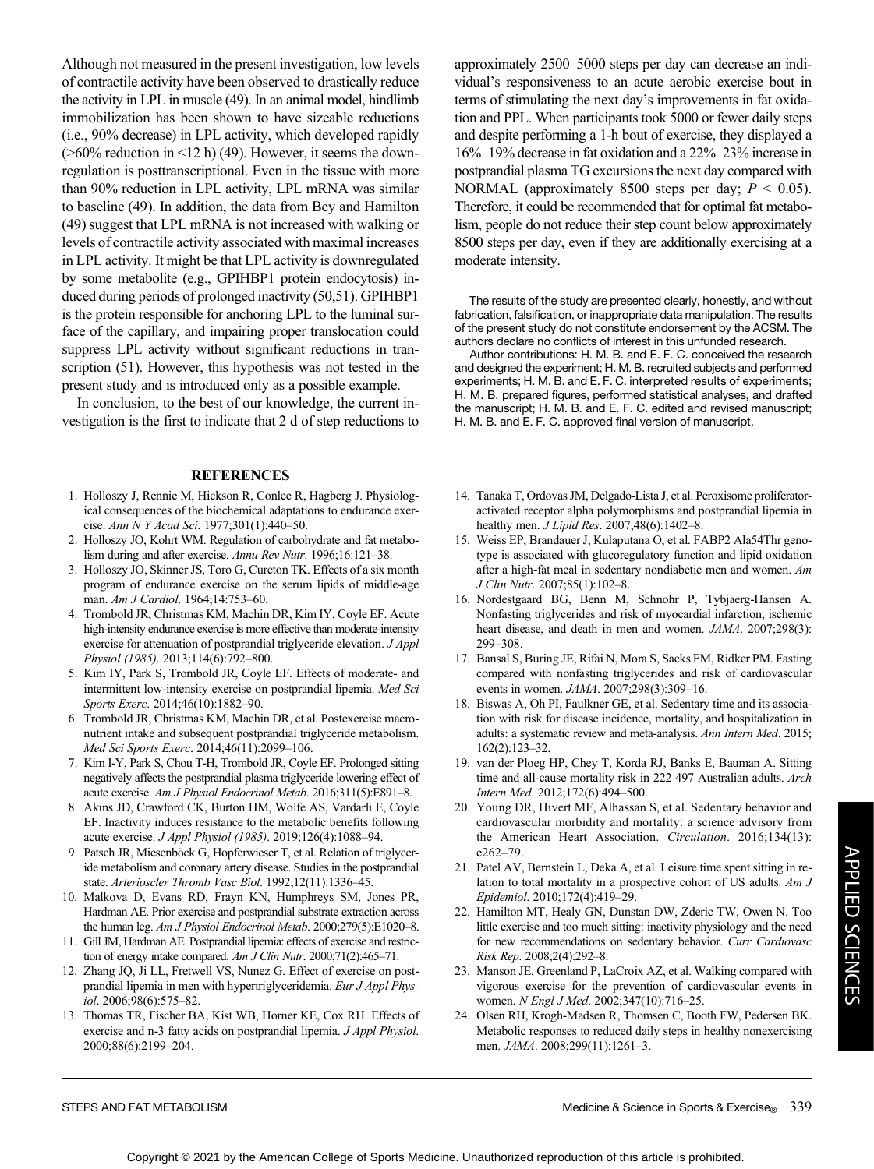Although not measured in the present investigation, low levels of contractile activity have been observed to drastically reduce the activity in LPL in muscle (49). In an animal model, hindlimb immobilization has been shown to have sizeable reductions (i.e., 90% decrease) in LPL activity, which developed rapidly  $($ >60% reduction in <12 h) (49). However, it seems the downregulation is posttranscriptional. Even in the tissue with more than 90% reduction in LPL activity, LPL mRNA was similar to baseline (49). In addition, the data from Bey and Hamilton (49) suggest that LPL mRNA is not increased with walking or levels of contractile activity associated with maximal increases in LPL activity. It might be that LPL activity is downregulated by some metabolite (e.g., GPIHBP1 protein endocytosis) induced during periods of prolonged inactivity (50,51). GPIHBP1 is the protein responsible for anchoring LPL to the luminal surface of the capillary, and impairing proper translocation could suppress LPL activity without significant reductions in transcription (51). However, this hypothesis was not tested in the present study and is introduced only as a possible example.

In conclusion, to the best of our knowledge, the current investigation is the first to indicate that 2 d of step reductions to

#### **REFERENCES**

- 1. Holloszy J, Rennie M, Hickson R, Conlee R, Hagberg J. Physiological consequences of the biochemical adaptations to endurance exercise. Ann N Y Acad Sci. 1977;301(1):440–50.
- 2. Holloszy JO, Kohrt WM. Regulation of carbohydrate and fat metabolism during and after exercise. Annu Rev Nutr. 1996;16:121–38.
- 3. Holloszy JO, Skinner JS, Toro G, Cureton TK. Effects of a six month program of endurance exercise on the serum lipids of middle-age man. Am J Cardiol. 1964;14:753-60.
- 4. Trombold JR, Christmas KM, Machin DR, Kim IY, Coyle EF. Acute high-intensity endurance exercise is more effective than moderate-intensity exercise for attenuation of postprandial triglyceride elevation. J Appl Physiol (1985). 2013;114(6):792–800.
- 5. Kim IY, Park S, Trombold JR, Coyle EF. Effects of moderate- and intermittent low-intensity exercise on postprandial lipemia. Med Sci Sports Exerc. 2014;46(10):1882–90.
- 6. Trombold JR, Christmas KM, Machin DR, et al. Postexercise macronutrient intake and subsequent postprandial triglyceride metabolism. Med Sci Sports Exerc. 2014;46(11):2099–106.
- 7. Kim I-Y, Park S, Chou T-H, Trombold JR, Coyle EF. Prolonged sitting negatively affects the postprandial plasma triglyceride lowering effect of acute exercise. Am J Physiol Endocrinol Metab. 2016;311(5):E891–8.
- 8. Akins JD, Crawford CK, Burton HM, Wolfe AS, Vardarli E, Coyle EF. Inactivity induces resistance to the metabolic benefits following acute exercise. J Appl Physiol (1985). 2019;126(4):1088–94.
- 9. Patsch JR, Miesenböck G, Hopferwieser T, et al. Relation of triglyceride metabolism and coronary artery disease. Studies in the postprandial state. Arterioscler Thromb Vasc Biol. 1992;12(11):1336–45.
- 10. Malkova D, Evans RD, Frayn KN, Humphreys SM, Jones PR, Hardman AE. Prior exercise and postprandial substrate extraction across the human leg. Am J Physiol Endocrinol Metab. 2000;279(5):E1020-8.
- 11. Gill JM, Hardman AE. Postprandial lipemia: effects of exercise and restriction of energy intake compared. Am J Clin Nutr. 2000;71(2):465-71.
- 12. Zhang JQ, Ji LL, Fretwell VS, Nunez G. Effect of exercise on postprandial lipemia in men with hypertriglyceridemia. Eur J Appl Physiol. 2006;98(6):575–82.
- 13. Thomas TR, Fischer BA, Kist WB, Horner KE, Cox RH. Effects of exercise and n-3 fatty acids on postprandial lipemia. J Appl Physiol. 2000;88(6):2199–204.

approximately 2500–5000 steps per day can decrease an individual's responsiveness to an acute aerobic exercise bout in terms of stimulating the next day's improvements in fat oxidation and PPL. When participants took 5000 or fewer daily steps and despite performing a 1-h bout of exercise, they displayed a 16%–19% decrease in fat oxidation and a 22%–23% increase in postprandial plasma TG excursions the next day compared with NORMAL (approximately 8500 steps per day;  $P < 0.05$ ). Therefore, it could be recommended that for optimal fat metabolism, people do not reduce their step count below approximately 8500 steps per day, even if they are additionally exercising at a moderate intensity.

The results of the study are presented clearly, honestly, and without fabrication, falsification, or inappropriate data manipulation. The results of the present study do not constitute endorsement by the ACSM. The authors declare no conflicts of interest in this unfunded research.

Author contributions: H. M. B. and E. F. C. conceived the research and designed the experiment; H. M. B. recruited subjects and performed experiments; H. M. B. and E. F. C. interpreted results of experiments; H. M. B. prepared figures, performed statistical analyses, and drafted the manuscript; H. M. B. and E. F. C. edited and revised manuscript; H. M. B. and E. F. C. approved final version of manuscript.

- 14. Tanaka T, Ordovas JM, Delgado-Lista J, et al. Peroxisome proliferatoractivated receptor alpha polymorphisms and postprandial lipemia in healthy men. *J Lipid Res*. 2007;48(6):1402-8.
- 15. Weiss EP, Brandauer J, Kulaputana O, et al. FABP2 Ala54Thr genotype is associated with glucoregulatory function and lipid oxidation after a high-fat meal in sedentary nondiabetic men and women. Am J Clin Nutr. 2007;85(1):102–8.
- 16. Nordestgaard BG, Benn M, Schnohr P, Tybjaerg-Hansen A. Nonfasting triglycerides and risk of myocardial infarction, ischemic heart disease, and death in men and women. JAMA. 2007;298(3): 299–308.
- 17. Bansal S, Buring JE, Rifai N, Mora S, Sacks FM, Ridker PM. Fasting compared with nonfasting triglycerides and risk of cardiovascular events in women. JAMA. 2007;298(3):309–16.
- 18. Biswas A, Oh PI, Faulkner GE, et al. Sedentary time and its association with risk for disease incidence, mortality, and hospitalization in adults: a systematic review and meta-analysis. Ann Intern Med. 2015; 162(2):123–32.
- 19. van der Ploeg HP, Chey T, Korda RJ, Banks E, Bauman A. Sitting time and all-cause mortality risk in 222 497 Australian adults. Arch Intern Med. 2012;172(6):494–500.
- 20. Young DR, Hivert MF, Alhassan S, et al. Sedentary behavior and cardiovascular morbidity and mortality: a science advisory from the American Heart Association. Circulation. 2016;134(13): e262–79.
- 21. Patel AV, Bernstein L, Deka A, et al. Leisure time spent sitting in relation to total mortality in a prospective cohort of US adults. Am J Epidemiol. 2010;172(4):419–29.
- 22. Hamilton MT, Healy GN, Dunstan DW, Zderic TW, Owen N. Too little exercise and too much sitting: inactivity physiology and the need for new recommendations on sedentary behavior. Curr Cardiovasc Risk Rep. 2008;2(4):292–8.
- 23. Manson JE, Greenland P, LaCroix AZ, et al. Walking compared with vigorous exercise for the prevention of cardiovascular events in women. N Engl J Med. 2002;347(10):716-25.
- 24. Olsen RH, Krogh-Madsen R, Thomsen C, Booth FW, Pedersen BK. Metabolic responses to reduced daily steps in healthy nonexercising men. JAMA. 2008;299(11):1261–3.